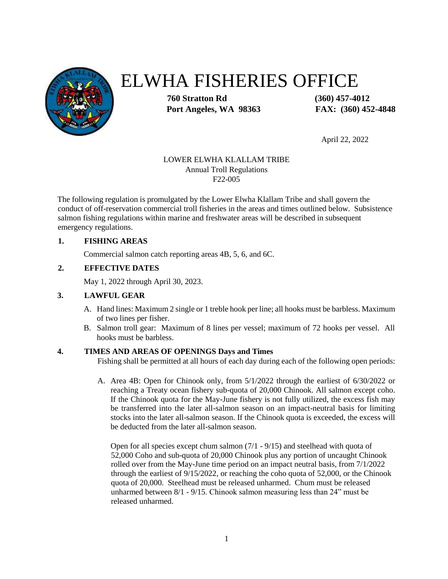

# ELWHA FISHERIES OFFICE

 **760 Stratton Rd (360) 457-4012 Port Angeles, WA 98363 FAX: (360) 452-4848** 

April 22, 2022

#### LOWER ELWHA KLALLAM TRIBE Annual Troll Regulations F22-005

The following regulation is promulgated by the Lower Elwha Klallam Tribe and shall govern the conduct of off-reservation commercial troll fisheries in the areas and times outlined below. Subsistence salmon fishing regulations within marine and freshwater areas will be described in subsequent emergency regulations.

# **1. FISHING AREAS**

Commercial salmon catch reporting areas 4B, 5, 6, and 6C.

# **2. EFFECTIVE DATES**

May 1, 2022 through April 30, 2023.

# **3. LAWFUL GEAR**

- A. Hand lines: Maximum 2 single or 1 treble hook per line; all hooks must be barbless. Maximum of two lines per fisher.
- B. Salmon troll gear: Maximum of 8 lines per vessel; maximum of 72 hooks per vessel. All hooks must be barbless.

# **4. TIMES AND AREAS OF OPENINGS Days and Times**

Fishing shall be permitted at all hours of each day during each of the following open periods:

A. Area 4B: Open for Chinook only, from 5/1/2022 through the earliest of 6/30/2022 or reaching a Treaty ocean fishery sub-quota of 20,000 Chinook. All salmon except coho. If the Chinook quota for the May-June fishery is not fully utilized, the excess fish may be transferred into the later all-salmon season on an impact-neutral basis for limiting stocks into the later all-salmon season. If the Chinook quota is exceeded, the excess will be deducted from the later all-salmon season.

Open for all species except chum salmon (7/1 - 9/15) and steelhead with quota of 52,000 Coho and sub-quota of 20,000 Chinook plus any portion of uncaught Chinook rolled over from the May-June time period on an impact neutral basis, from 7/1/2022 through the earliest of 9/15/2022, or reaching the coho quota of 52,000, or the Chinook quota of 20,000. Steelhead must be released unharmed. Chum must be released unharmed between 8/1 - 9/15. Chinook salmon measuring less than 24" must be released unharmed.